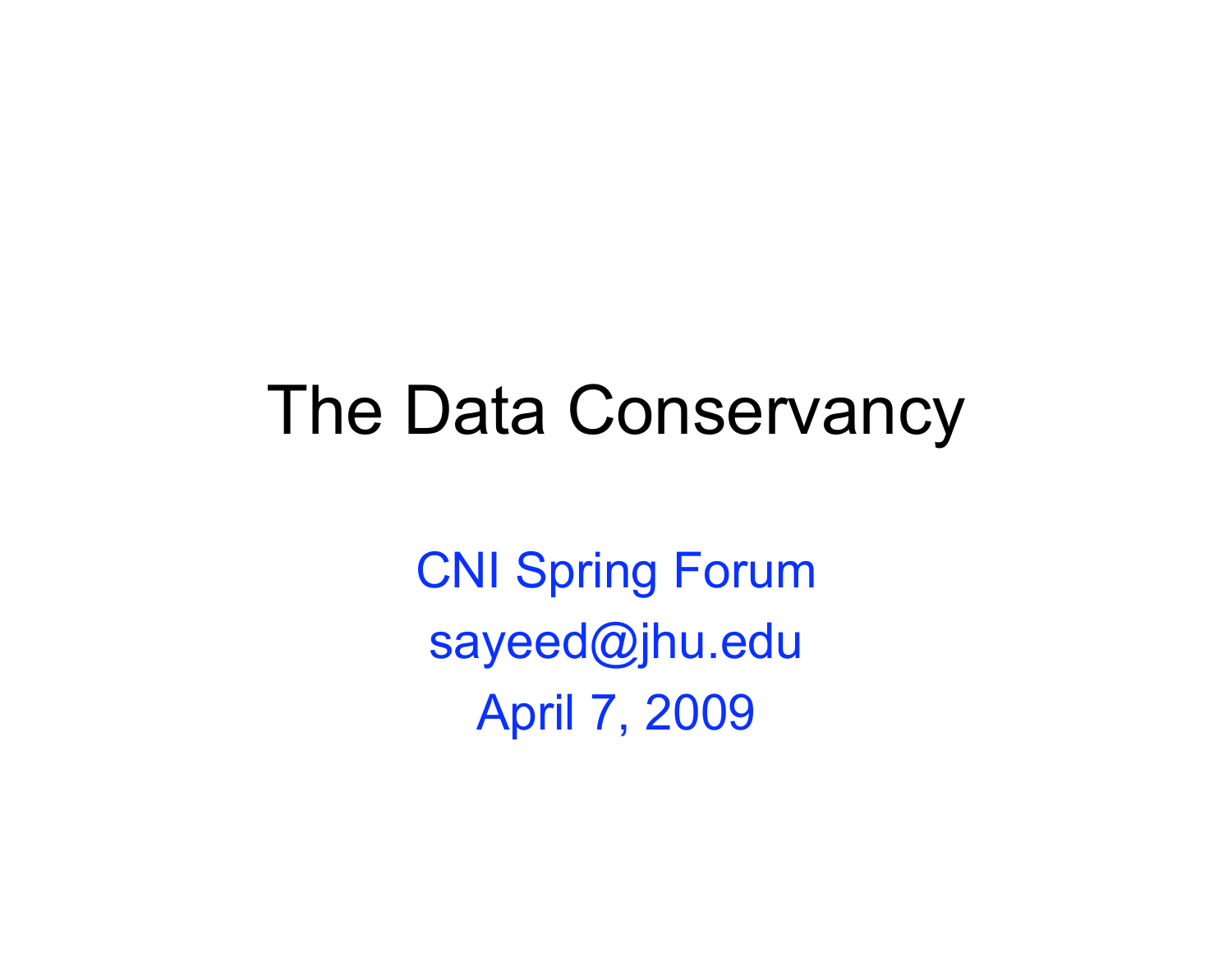#### The Data Conservancy

CNI Spring Forum sayeed@jhu.edu April 7, 2009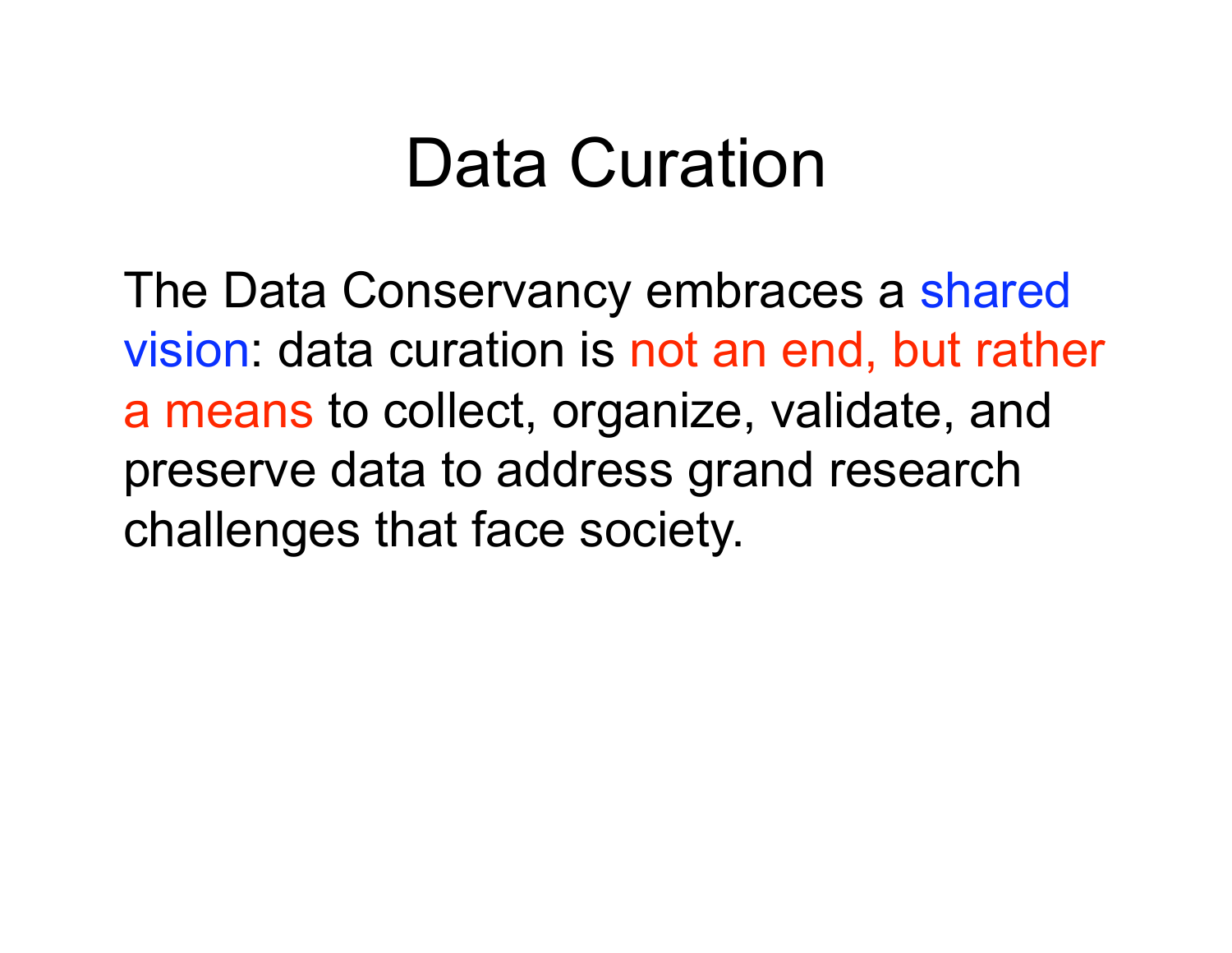#### Data Curation

The Data Conservancy embraces a shared vision: data curation is not an end, but rather a means to collect, organize, validate, and preserve data to address grand research challenges that face society.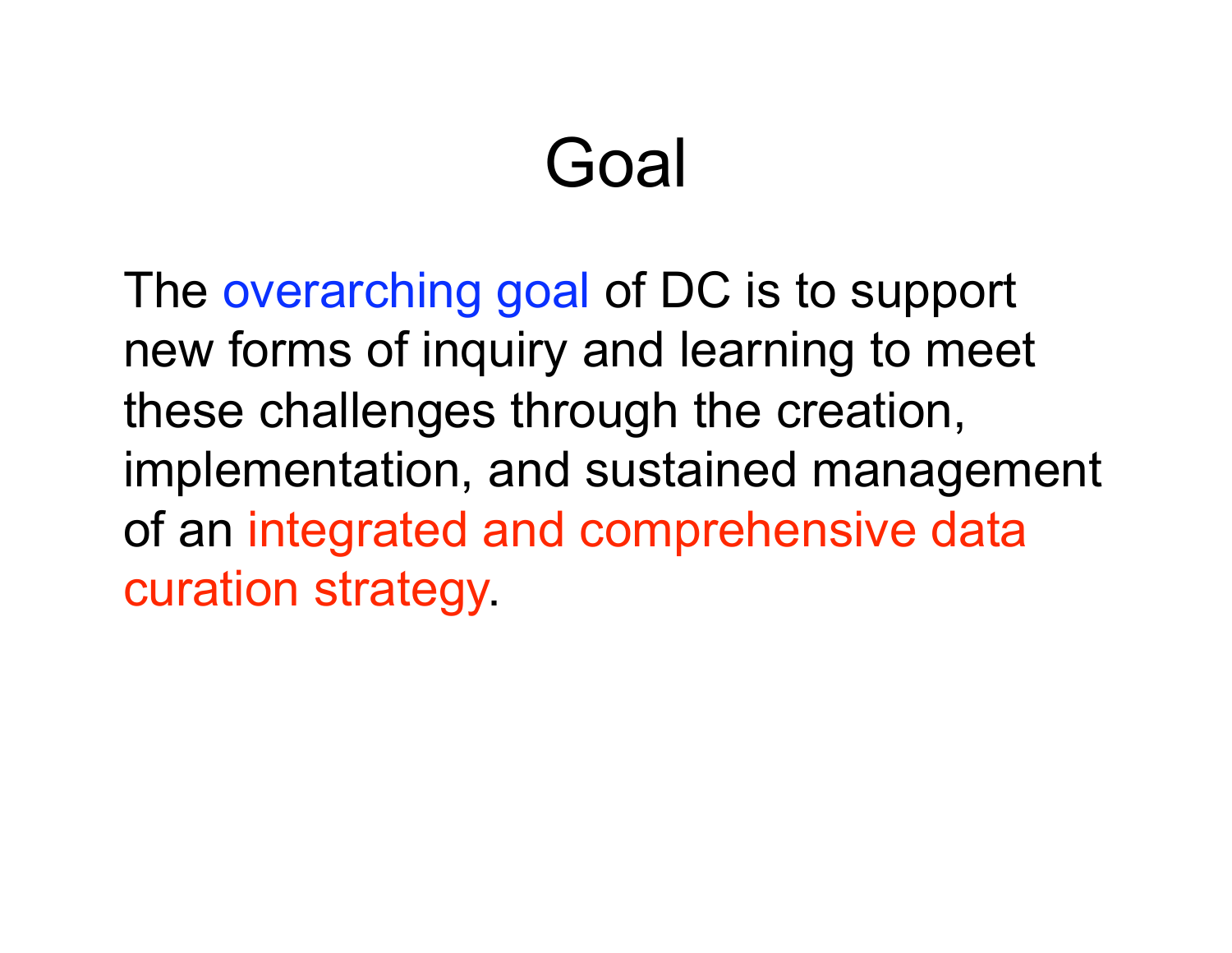## Goal

The overarching goal of DC is to support new forms of inquiry and learning to meet these challenges through the creation, implementation, and sustained management of an integrated and comprehensive data curation strategy.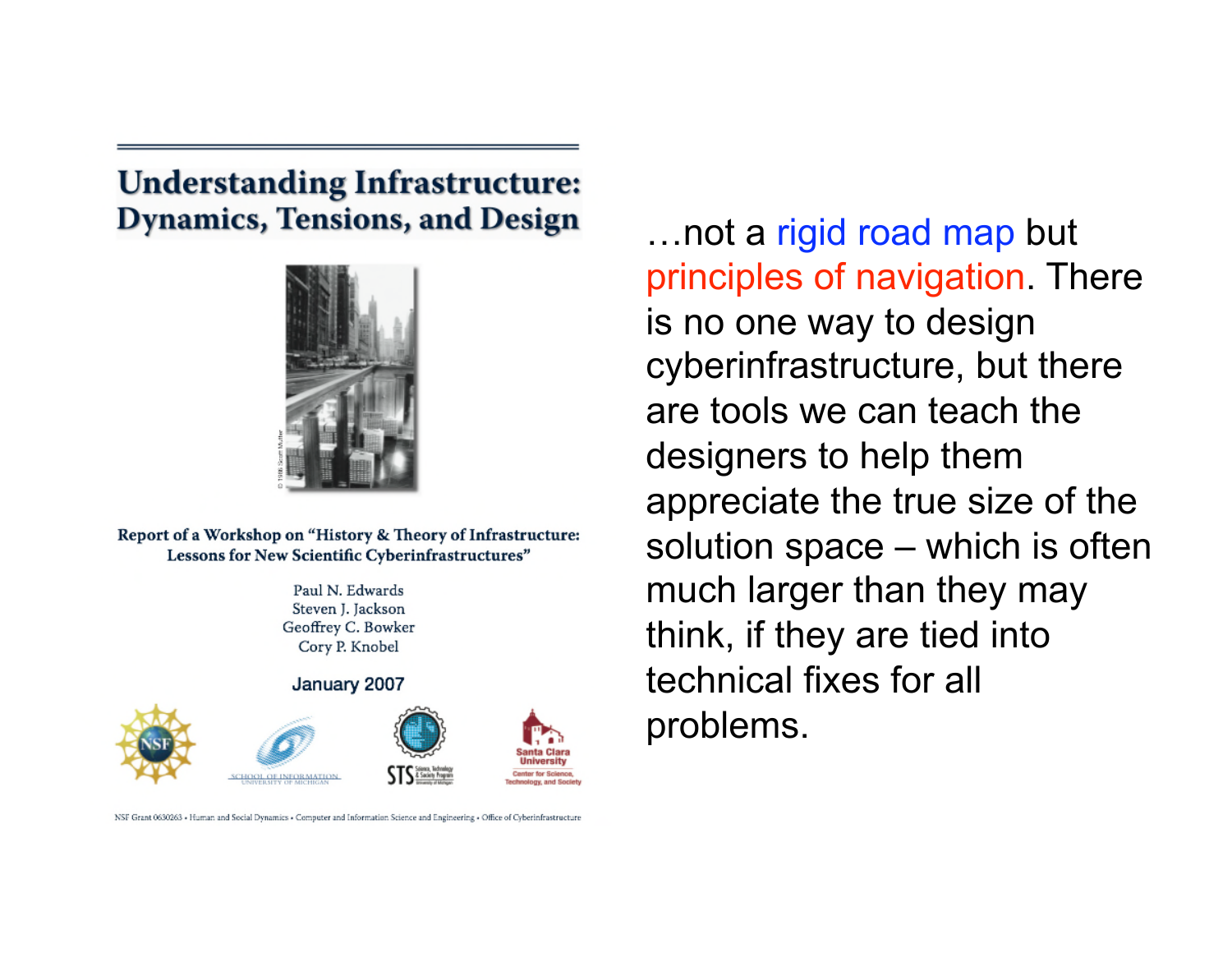#### **Understanding Infrastructure: Dynamics, Tensions, and Design**



Report of a Workshop on "History & Theory of Infrastructure: Lessons for New Scientific Cyberinfrastructures"

> Paul N. Edwards Steven J. Jackson Geoffrey C. Bowker Cory P. Knobel

January 2007



NSF Grant 0630263 - Human and Social Dynamics - Computer and Information Science and Engineering - Office of Cyberinfrastructure

…not a rigid road map but principles of navigation. There is no one way to design cyberinfrastructure, but there are tools we can teach the designers to help them appreciate the true size of the solution space – which is often much larger than they may think, if they are tied into technical fixes for all problems.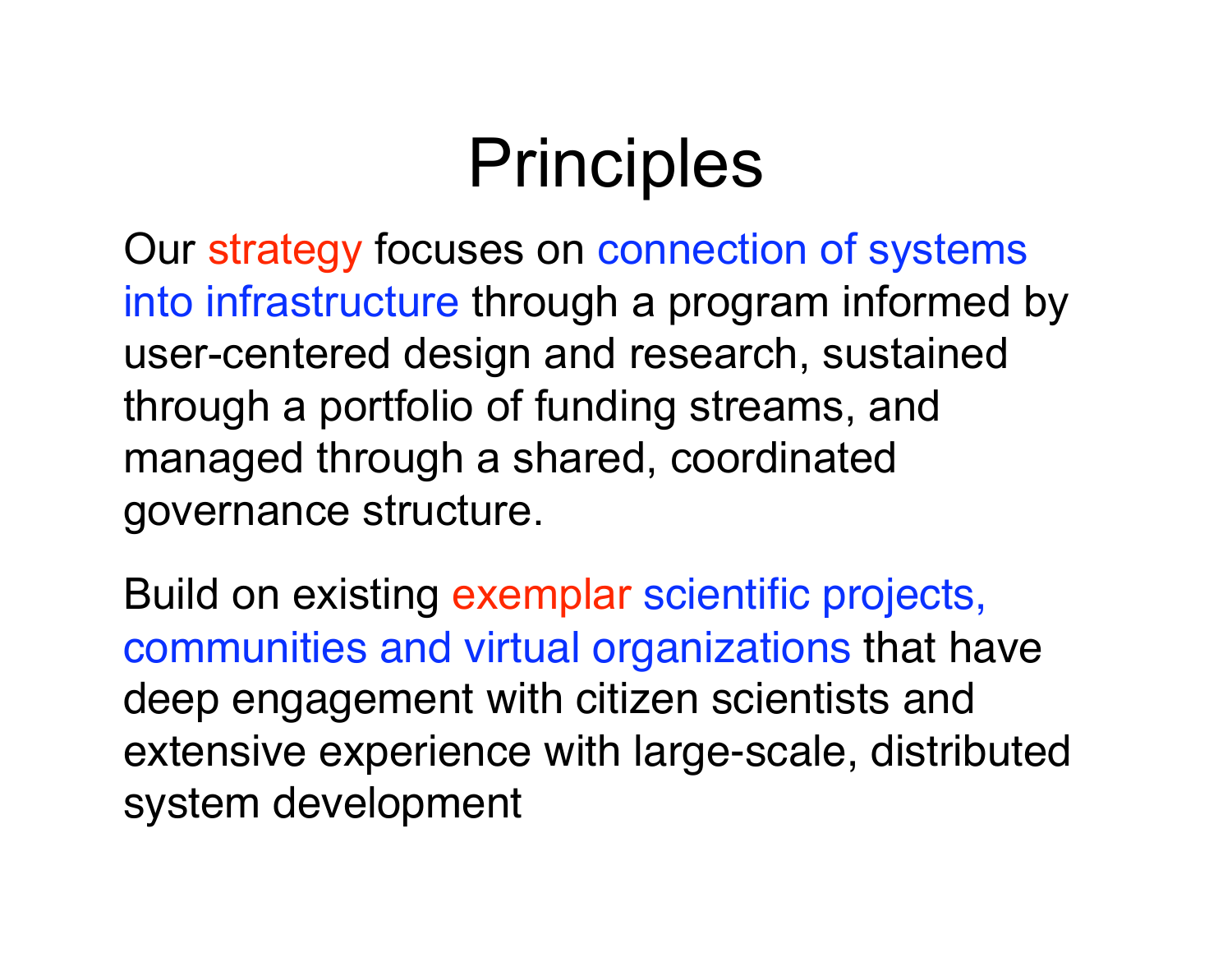## **Principles**

Our strategy focuses on connection of systems into infrastructure through a program informed by user-centered design and research, sustained through a portfolio of funding streams, and managed through a shared, coordinated governance structure.

Build on existing exemplar scientific projects, communities and virtual organizations that have deep engagement with citizen scientists and extensive experience with large-scale, distributed system development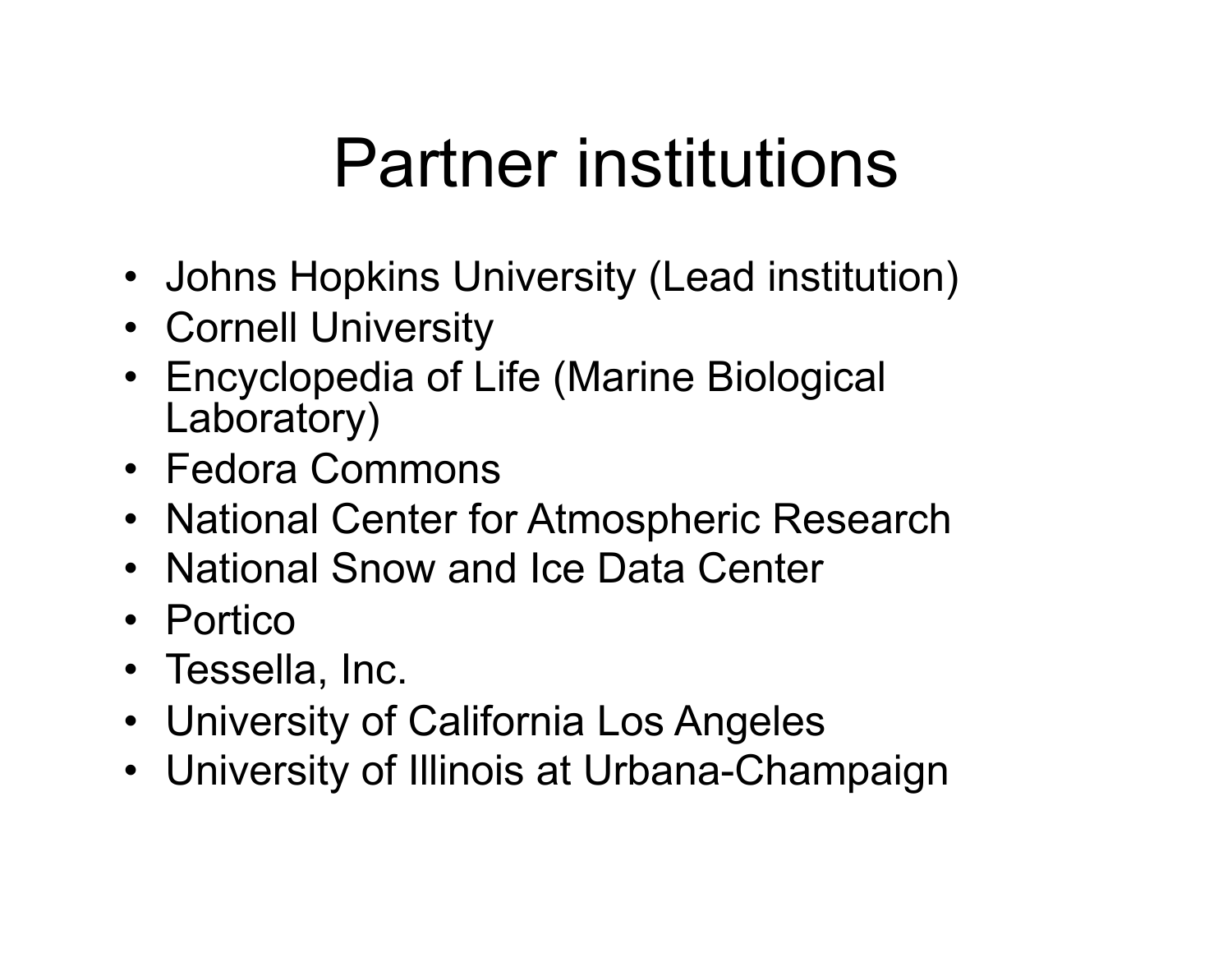## Partner institutions

- Johns Hopkins University (Lead institution)
- Cornell University
- Encyclopedia of Life (Marine Biological Laboratory)
- Fedora Commons
- National Center for Atmospheric Research
- National Snow and Ice Data Center
- Portico
- Tessella, Inc.
- University of California Los Angeles
- University of Illinois at Urbana-Champaign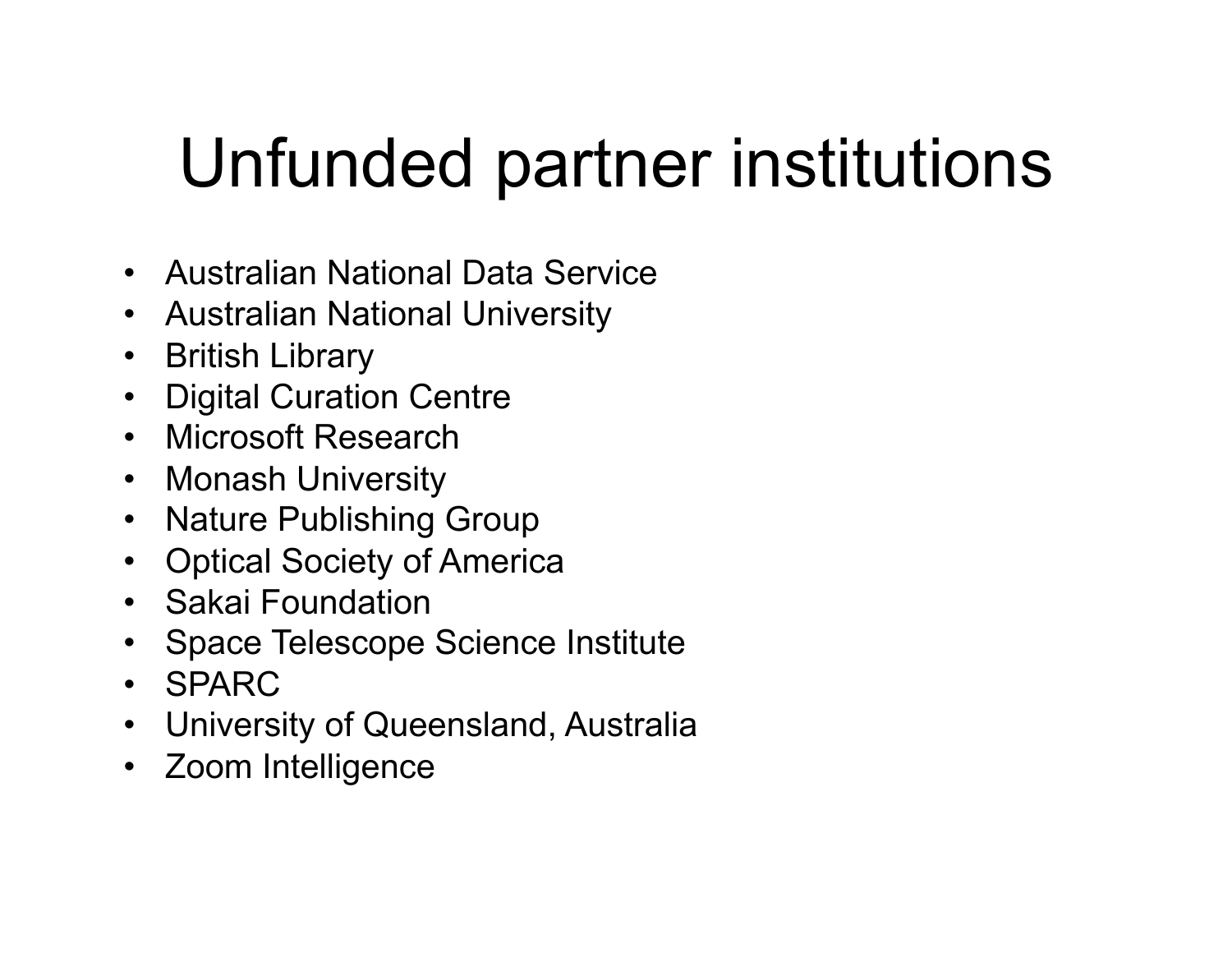## Unfunded partner institutions

- Australian National Data Service
- Australian National University
- British Library
- Digital Curation Centre
- Microsoft Research
- Monash University
- Nature Publishing Group
- Optical Society of America
- Sakai Foundation
- Space Telescope Science Institute
- SPARC
- University of Queensland, Australia
- Zoom Intelligence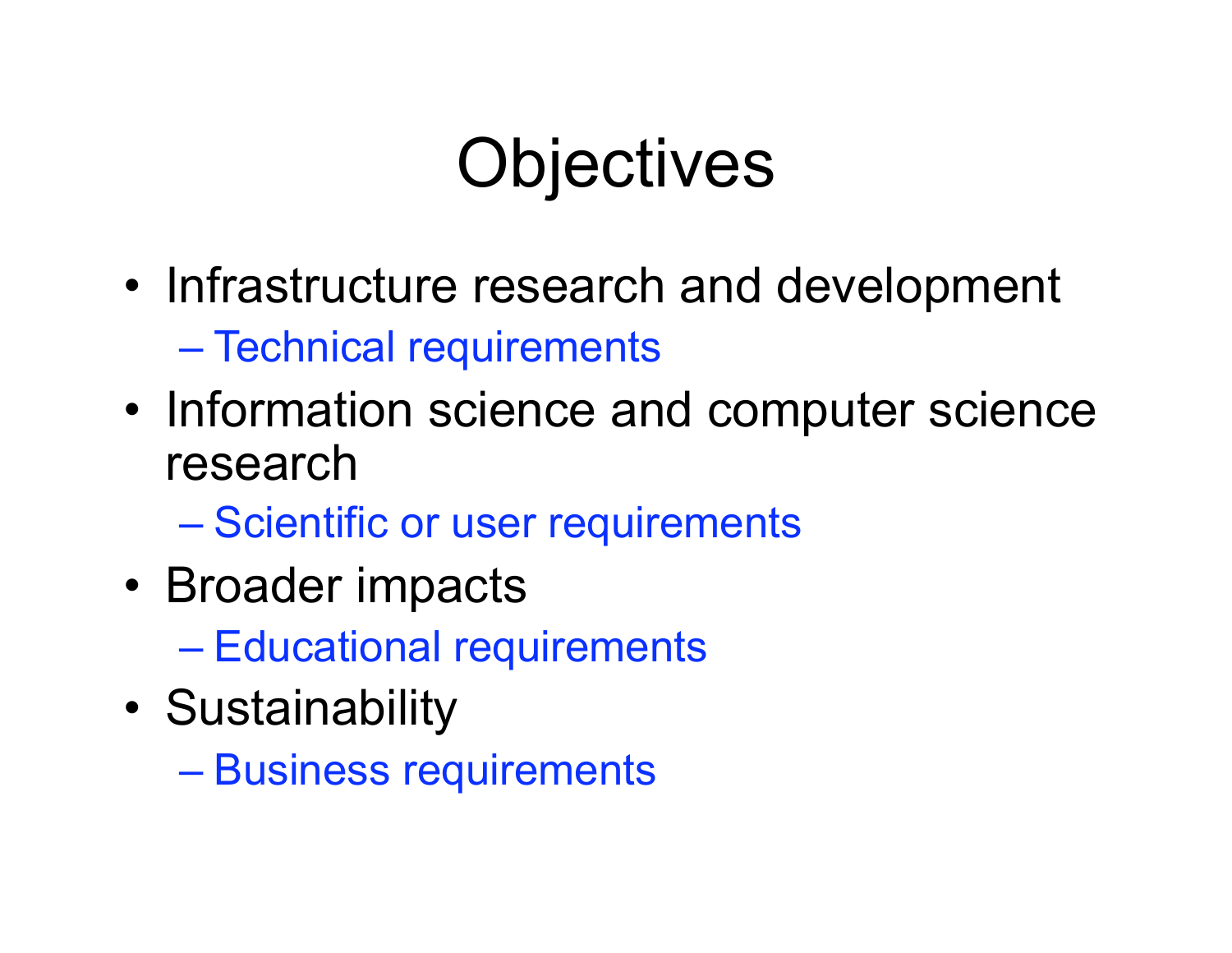## **Objectives**

- Infrastructure research and development – Technical requirements
- Information science and computer science research
	- Scientific or user requirements
- Broader impacts
	- Educational requirements
- Sustainability
	- Business requirements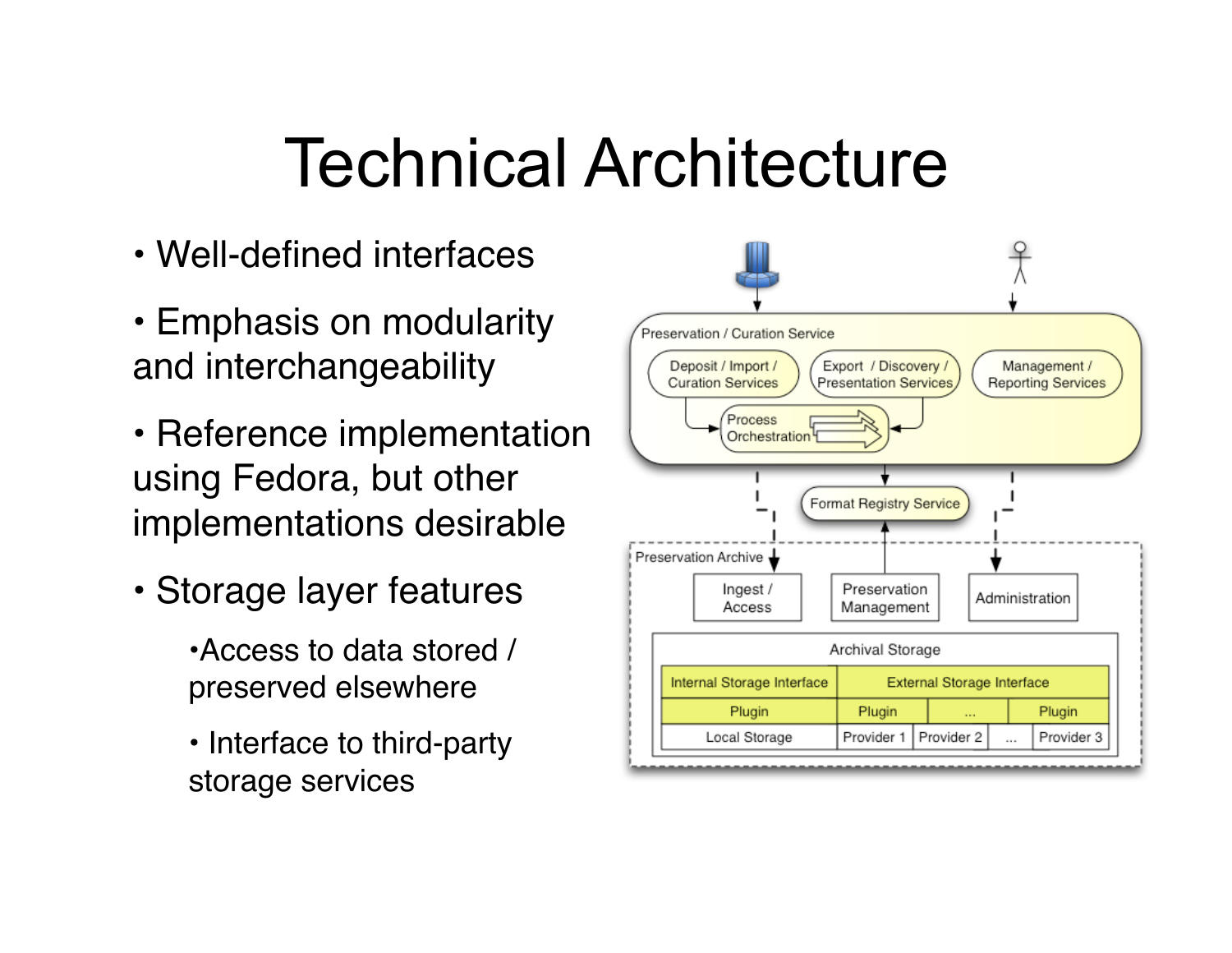#### Technical Architecture

- Well-defined interfaces
- Emphasis on modularity and interchangeability
- Reference implementation using Fedora, but other implementations desirable
- Storage layer features
	- •Access to data stored / preserved elsewhere
	- Interface to third-party storage services

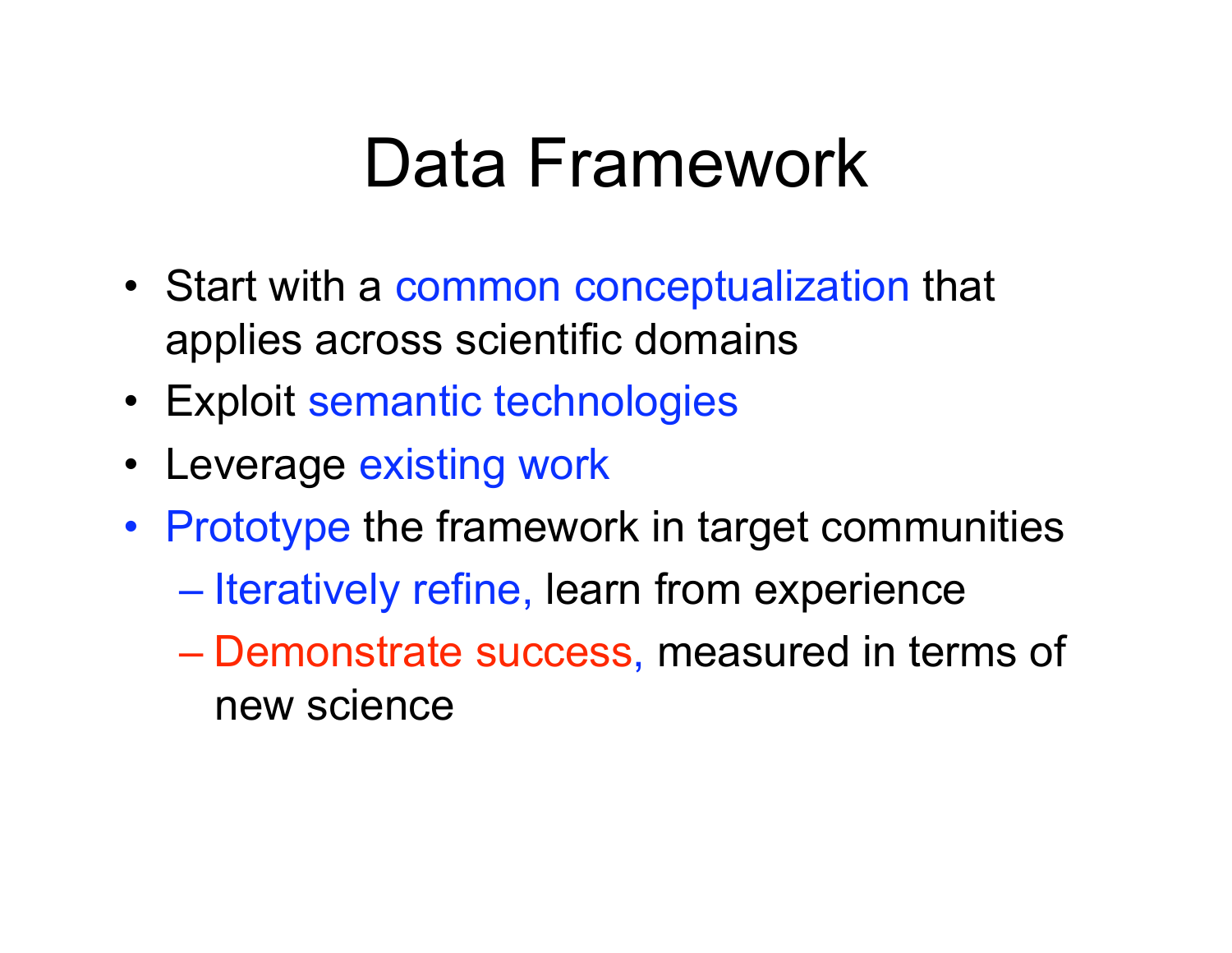#### Data Framework

- Start with a common conceptualization that applies across scientific domains
- Exploit semantic technologies
- Leverage existing work
- Prototype the framework in target communities
	- Iteratively refine, learn from experience
	- Demonstrate success, measured in terms of new science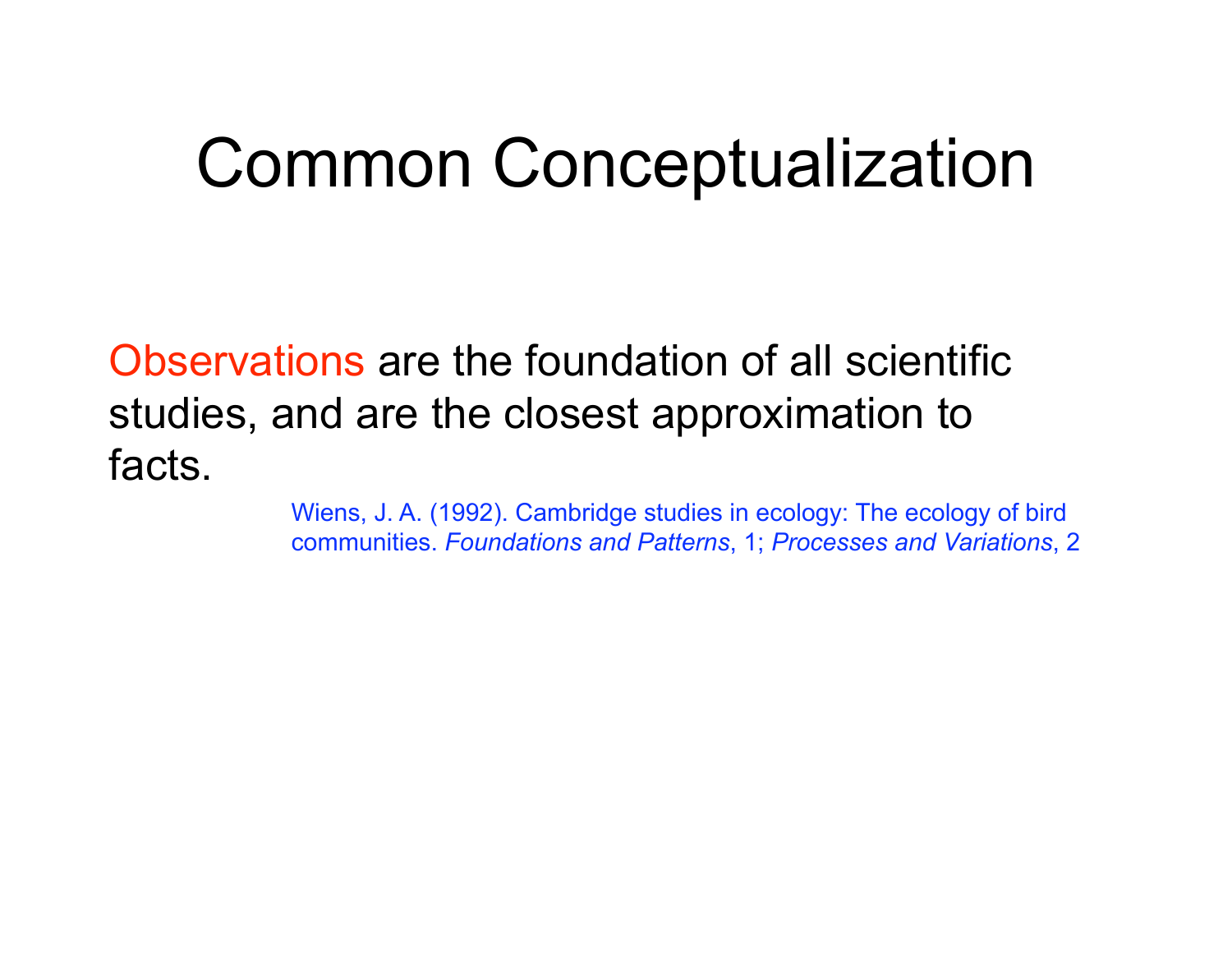#### Common Conceptualization

Observations are the foundation of all scientific studies, and are the closest approximation to facts.

> Wiens, J. A. (1992). Cambridge studies in ecology: The ecology of bird communities. *Foundations and Patterns*, 1; *Processes and Variations*, 2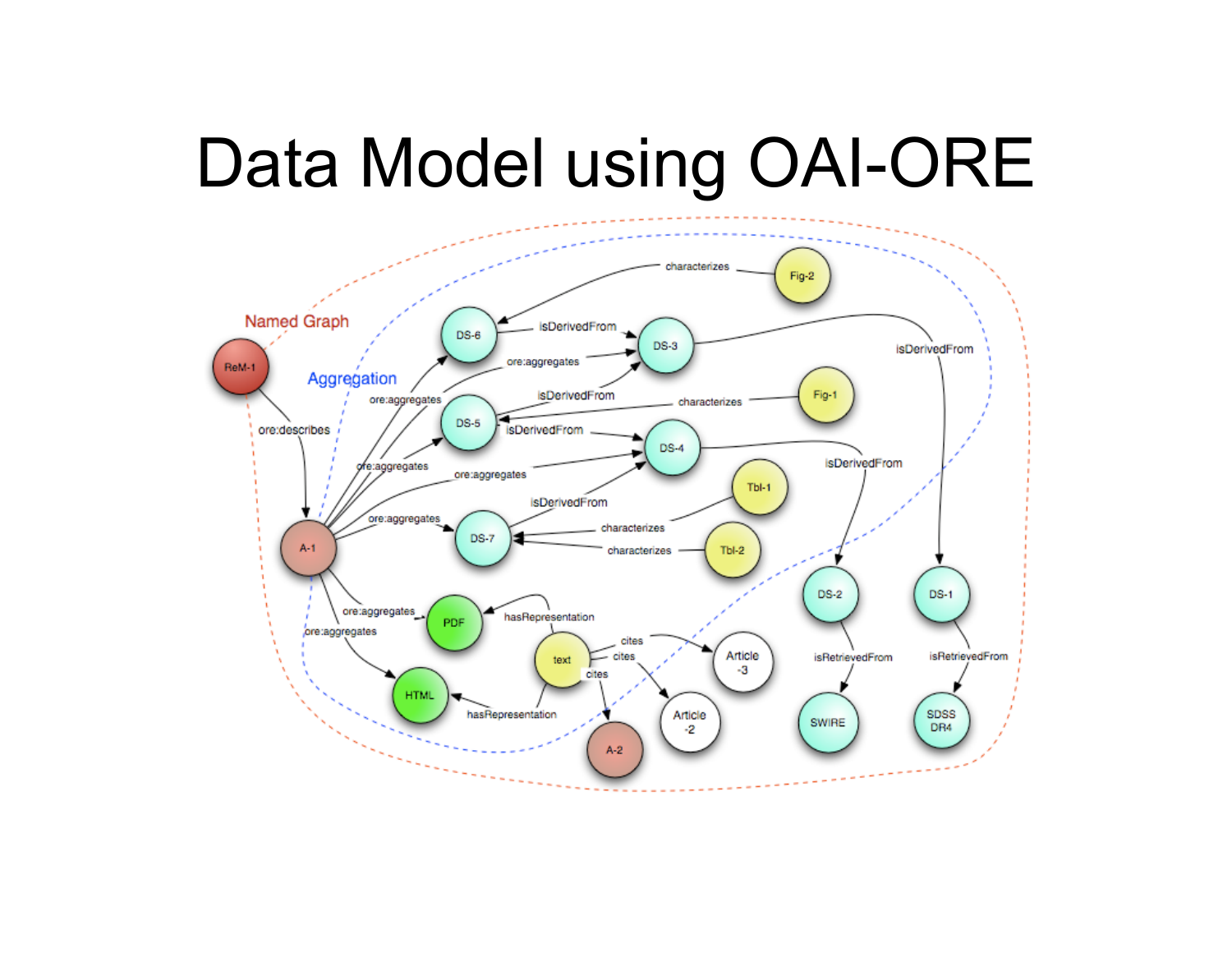#### Data Model using OAI-ORE

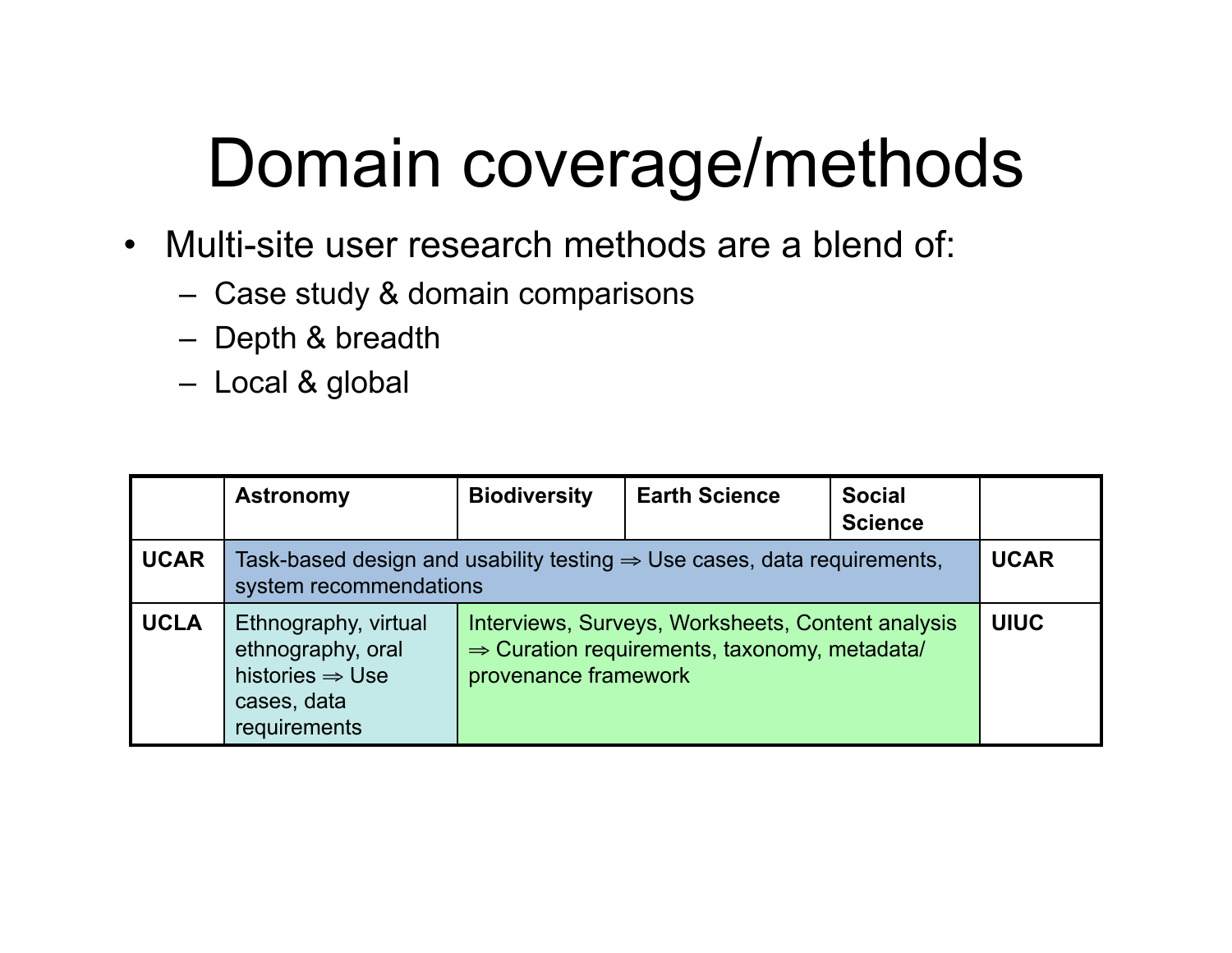# Domain coverage/methods

- Multi-site user research methods are a blend of:
	- Case study & domain comparisons
	- Depth & breadth
	- Local & global

|             | <b>Astronomy</b>                                                                                              | <b>Biodiversity</b>                                                                                                                   | <b>Earth Science</b> | <b>Social</b><br><b>Science</b> |             |
|-------------|---------------------------------------------------------------------------------------------------------------|---------------------------------------------------------------------------------------------------------------------------------------|----------------------|---------------------------------|-------------|
| <b>UCAR</b> | Task-based design and usability testing $\Rightarrow$ Use cases, data requirements,<br>system recommendations |                                                                                                                                       |                      |                                 | <b>UCAR</b> |
| <b>UCLA</b> | Ethnography, virtual<br>ethnography, oral<br>histories $\Rightarrow$ Use<br>cases, data<br>requirements       | Interviews, Surveys, Worksheets, Content analysis<br>$\Rightarrow$ Curation requirements, taxonomy, metadata/<br>provenance framework |                      | <b>UIUC</b>                     |             |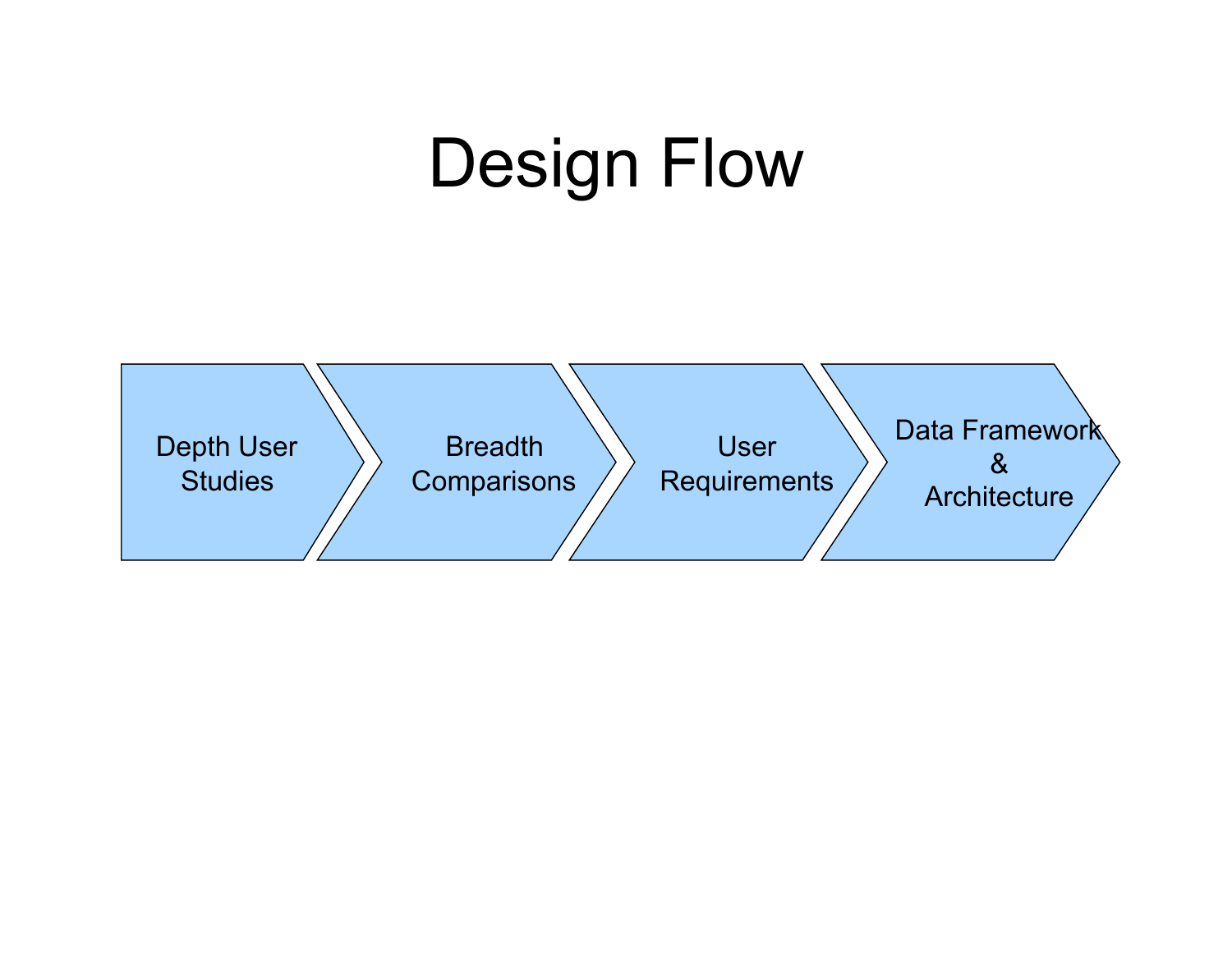### Design Flow

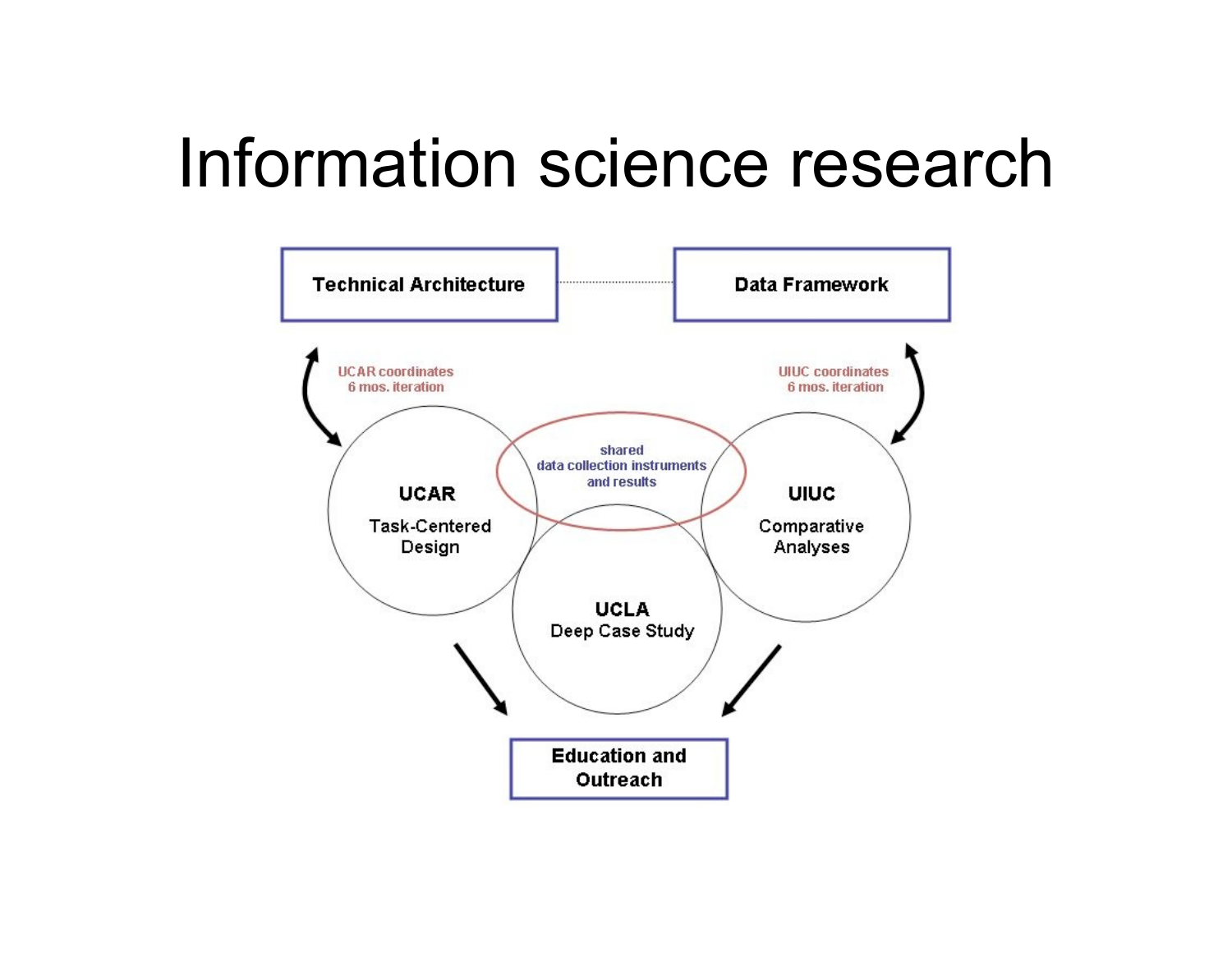#### Information science research

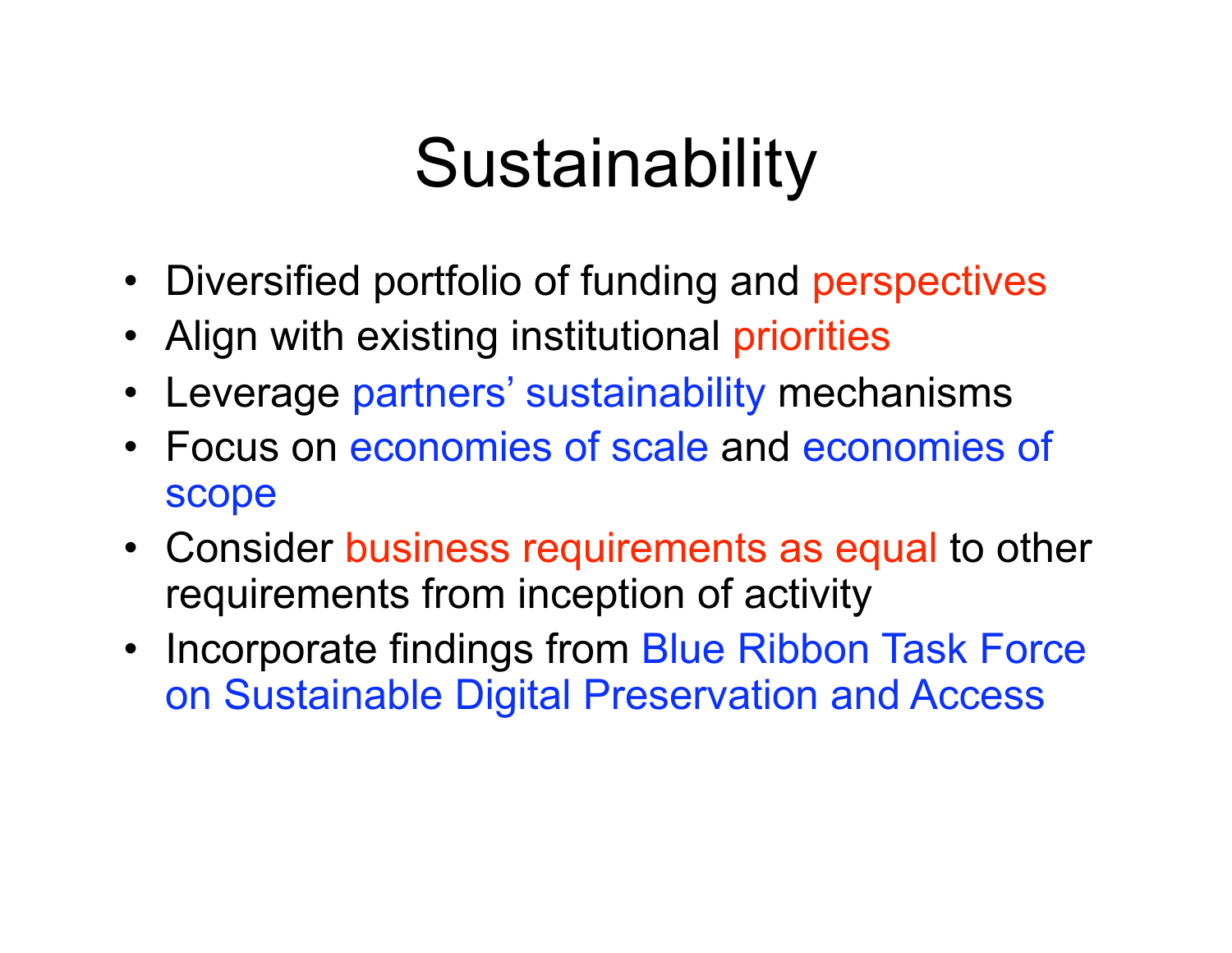## **Sustainability**

- Diversified portfolio of funding and perspectives
- Align with existing institutional priorities
- Leverage partners' sustainability mechanisms
- Focus on economies of scale and economies of scope
- Consider business requirements as equal to other requirements from inception of activity
- Incorporate findings from Blue Ribbon Task Force on Sustainable Digital Preservation and Access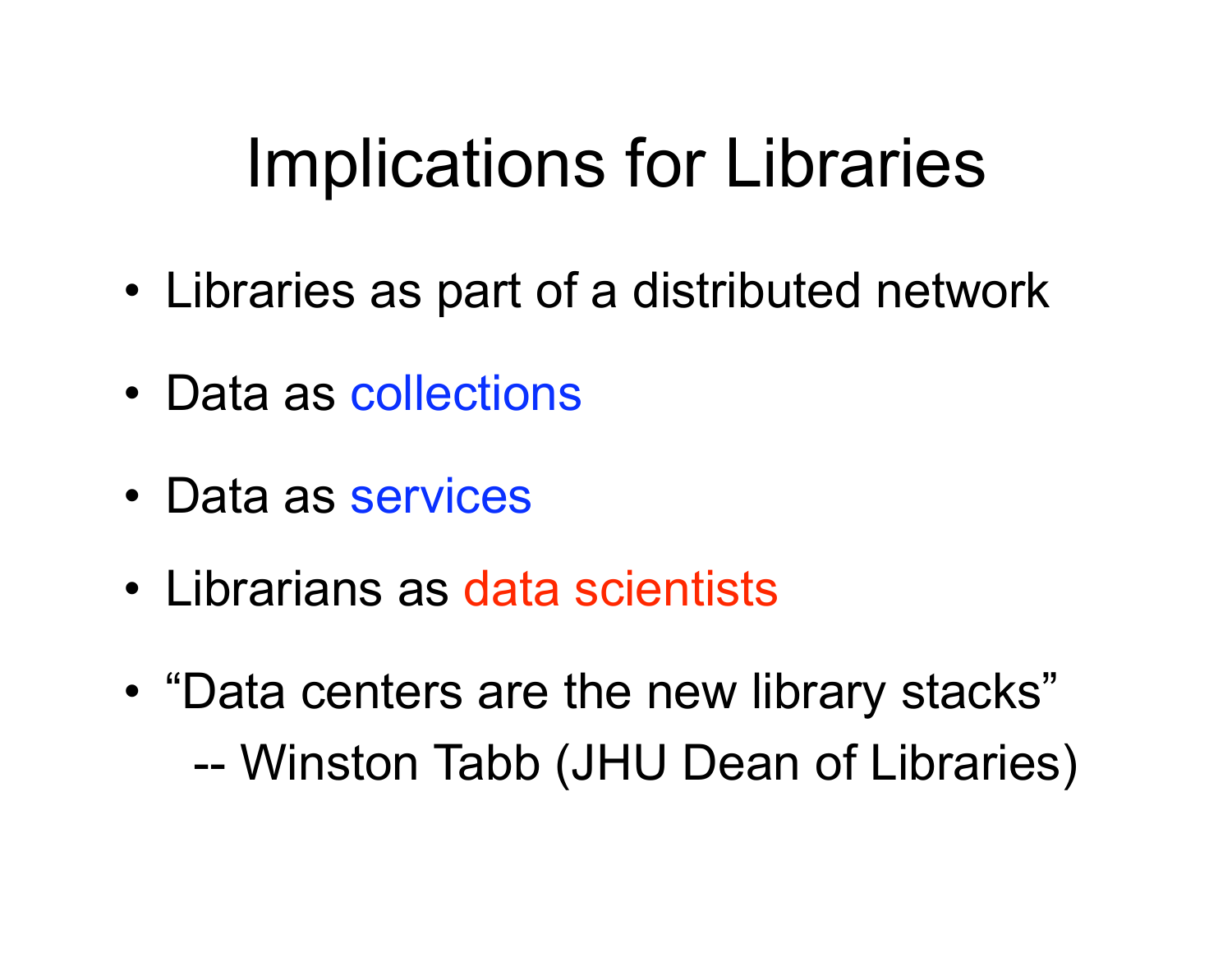## Implications for Libraries

- Libraries as part of a distributed network
- Data as collections
- Data as services
- Librarians as data scientists
- "Data centers are the new library stacks" -- Winston Tabb (JHU Dean of Libraries)